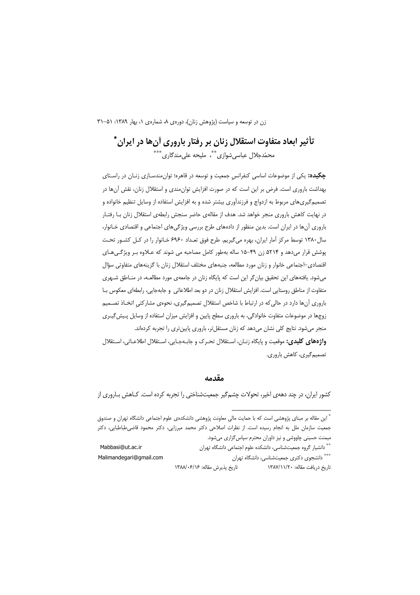# تأثیر ابعاد متفاوت استقلال زنان بر رفتار باروری آن ها در ایران \* محمّدجلال عباسی شوازی ٌ ٌّ، ملیحه علی مندگاری ٌ \*\*\*

ج**کیده:** یکی از موضوعات اساسی کنفرانس جمعیت و توسعه در قاهره؛ توان مندسـازی زنـان در راسـتای بهداشت باروری است. فرض بر این است که در صورت افزایش توان۵مندی و استقلال زنان، نقش آنها در تصمیم گیریهای مربوط به ازدواج و فرزندآوری بیشتر شده و به افزایش استفاده از وسایل تنظیم خانواده و در نهایت کاهش باروری منجر خواهد شد. هدف از مقالهی حاضر سنجش رابطهی استقلال زنان بـا رفتـار باروری آنها در ایران است. بدین منظور از دادههای طرح بررسی ویژگیهای اجتماعی و اقتصادی خـانوار، سال ۱۳۸۰ توسط مرکز آمار ایران، بهره میگیریم. طرح فوق تعداد ۶۹۶۰ خـانوار را در کـل کشـور تحـت پوشش قرار میدهد و ۵۲۱۴ زن ۴۹–۱۵ ساله بهطور کامل مصاحبه می شوند که عـلاوه بـر ویژگـیهـای اقتصادی–اجتماعی خانوار و زنان مورد مطالعه، جنبههای مختلف استقلال زنان با گزینههای متفاوتی سؤال میشود. یافتههای این تحقیق بیان گر این است که پایگاه زنان در جامعهی مورد مطالعه، در منـاطق شـهری متفاوت از مناطق روستایی است. افزایش استقلال زنان در دو بعد اطلاعاتی و جابهجایی، رابطهای معکوس بـا باروری آنها دارد در حالی که در ارتباط با شاخص استقلال تصمیم گیری، نحوهی مشارکتی اتخـاذ تصـمیم زوجها در موضوعات متفاوت خانوادگی، به باروری سطح پایین و افزایش میزان استفاده از وسایل پـیش گیـری منجر میشود. نتایج کلی نشان میدهد که زنان مستقلتر، باروری پایینتری را تجربه کردهاند. **واژههای کلیدی:** موقعیت و پایگاه زنـان، اسـتقلال تحـرک و جابـهجـایی، اسـتقلال اطلاعـاتی، اسـتقلال تصميم گيري، کاهش باروري.

#### مقدمه

کشور ایران، در چند دههی اخیر، تحولات چشمگیر جمعیتشناختی را تجربه کرده است. کـاهش بـاروری از

اً این مقاله بر مبنای پژوهشی است که با حمایت مالی معاونت پژوهشی دانشکدهی علوم اجتماعی دانشگاه تهران و صندوق جمعیت سازمان ملل به انجام رسیده است. از نظرات اصلاحی دکتر محمد میرزایی، دکتر محمود قاضی طباطبایی، دکتر میمنت حسینی چاووشی و نیز داوران محترم سپاس گزاری میشود.

Mabbasi@ut.ac.ir \*\* دانشیار گروه جمعیتشناسی، دانشکده علوم اجتماعی دانشگاه تهران \*\*\* دانشجوی دکتری جمعیتشناسی، دانشگاه تهران Malimandegari@gmail.com تاريخ دريافت مقاله: ١٣٨٧/١١/٢٠ تاريخ پذيرش مقاله: ١٣٨٨/٠۶/١٢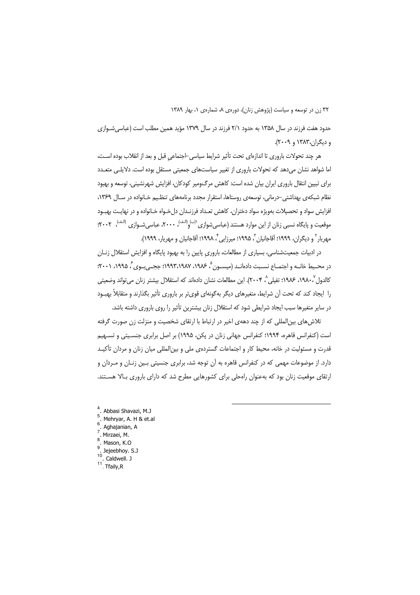حدود هفت فرزند در سال ۱۳۵۸ به حدود ۲/۱ فرزند در سال ۱۳۷۹ مؤید همین مطلب است (عباسی شـوازی و دیگران،۱۳۸۳ و ۲۰۰۹).

هر چند تحولات باروری تا اندازهای تحت تأثیر شرایط سیاسی-اجتماعی قبل و بعد از انقلاب بوده است، اما شواهد نشان میدهد که تحولات باروری از تغییر سیاستهای جمعیتی مستقل بوده است. دلایلـی متعـدد برای تبیین انتقال باروری ایران بیان شده است: کاهش مرگ<code>ومیر کودکان، افزایش شهرنشینی، توسعه و بهبود</code> نظام شبکهی بهداشتی-درمانی، توسعهی روستاها، استقرار مجدد برنامههای تنظیم خـانواده در سـال ۱۳۶۹، افزایش سواد و تحصیلات بهویژه سواد دختران، کاهش تعـداد فرزنـدان دل خـواه خـانواده و در نهایـت بهبـود موقعیت و پایگاه نسبی زنان از این موارد هستند (عباسی شوازی <sup>(ب)</sup> (<sup>الـف)</sup>، ۲۰۰۰، عباسی شـوازی <sup>(الـف)</sup>، ۲۰۰۲: مهريار<sup>٢</sup> و ديگران، ١٩٩٩؛ آقاجانيان<sup>٣</sup>، ١٩٩۵؛ ميرزايي<sup>۴</sup>، ١٩٩٨؛ آقاجانيان و مهريار، ١٩٩٩).

در ادبیات جمعیتشناسی، بسیاری از مطالعات، باروری پایین را به بهبود پایگاه و افزایش استقلال زنـان در محـيط خانــه و اجتمــاع نســبت دادهانــد (ميســون <sup>۵</sup>، ۱۹۸۶، ۱۹۹۲،۱۹۸۷؛ ججــ<sub>ه ا</sub>بــوي ً، ۱۹۹۵، ۲۰۰۱؛ كالدول `، ١٩٨٠، ١٩٨۶، تفيلي `، ٢٠٠۴). اين مطالعات نشان دادهاند كه استقلال بيشتر زنان مي تواند وضعيتي را ایجاد کند که تحت آن شرایط، متغیرهای دیگر بهگونهای قویتر بر باروری تأثیر بگذارند و متقابلاً بهبود در سایر متغیرها سبب ایجاد شرایطی شود که استقلال زنان بیشترین تأثیر را روی باروری داشته باشد.

تلاش های بین|لمللی که از چند دههی اخیر در ارتباط با ارتقای شخصیت و منزلت زن صورت گرفته است (کنفرانس قاهره، ۱۹۹۴؛ کنفرانس جهانی زنان در پکن، ۱۹۹۵) بر اصل برابری جنسیتی و تسـهیم قدرت و مسئولیت در خانه، محیط کار و اجتماعات گستردهی ملی و بین|لمللی میان زنان و مردان تأکیـد دارد. از موضوعات مهمی که در کنفرانس قاهره به آن توجه شد، برابری جنسیتی بـین زنـان و مـردان و ارتقای موقعیت زنان بود که بهعنوان راهحلی برای کشورهایی مطرح شد که دارای باروری بالا هستند.

- . Abbasi Shavazi, M.J  $\overline{5}$
- . Mehryar, A. H & et.al  $6^{\circ}$
- . Aghajanian, A
- $7 \overline{\phantom{a}}$  Mirzaei, M.
- <sup>8</sup>. Mason, K.O
- Jejeebhoy. S.J
- $10$ . Caldwell. J
- $11$ . Tfaily, R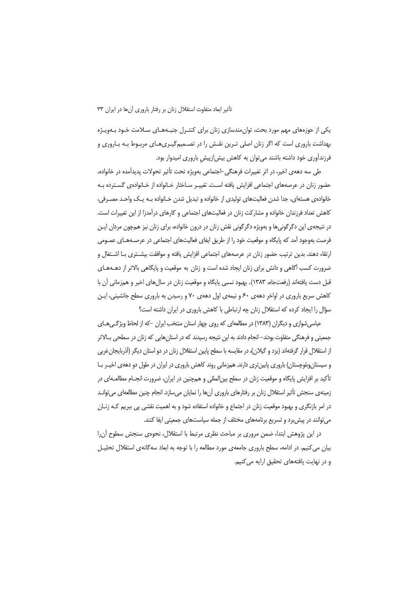یکی از حوزههای مهم مورد بحث، توان مندسازی زنان برای کنتـرل جنبـههـای سـلامت خـود بـهویـژه بهداشت باروری است که اگر زنان اصلی تـرین نقـش را در تصـمیمگیـریهـای مربـوط بـه بـاروری و فرزندآوری خود داشته باشند میتوان به کاهش بیش|زپیش باروری امیدوار بود.

طی سه دههی اخیر، در اثر تغییرات فرهنگی-اجتماعی بهویژه تحت تأثیر تحولات پدیدآمده در خانواده، حضور زنان در عرصههای اجتماعی افزایش یافته است. تغییـر سـاختار خـانواده از خـانوادهی گسـترده بـه خانواده ی هستهای، جدا شدن فعالیتهای تولیدی از خانواده و تبدیل شدن خـانواده بـه یـک واحـد مصـرفی، کاهش تعداد فرزندان خانواده و مشارکت زنان در فعالیتهای اجتماعی و کارهای درآمدزا از این تغییرات است. در نتیجهی این دگرگونیها و بهویژه دگرگونی نقش زنان در درون خانواده، برای زنان نیز همچون مردان ایـن فرصت بهوجود آمد که پایگاه و موقعیت خود را از طریق ایفای فعالیتهای اجتماعی در عرصـههـای عمــومی ارتقاء دهند. بدین ترتیب حضور زنان در عرصههای اجتماعی افزایش یافته و موافقت بیشـتری بـا اشـتغال و ضرورت کسب آگاهی و دانش برای زنان ایجاد شده است و زنان به موقعیت و پایگاهی بالاتر از دهـههـای قبل دست یافتهاند (رفعتجاه، ۱۳۸۳). بهبود نسبی پایگاه و موقعیت زنان در سال های اخیر و همزمانی آن با کاهش سریع باروری در اواخر دههی ۶۰ و نیمهی اول دههی ۷۰ و رسیدن به باروری سطح جانشینی، ایـن سؤال را ایجاد کرده که استقلال زنان چه ارتباطی با کاهش باروری در ایران داشته است؟

عباسی شوازی و دیگران (۱۳۸۳) در مطالعهای که روی چهار استان منتخب ایران –که از لحاظ ویژگی هـای جمعیتی و فرهنگی متفاوت بودند–انجام دادند به این نتیجه رسیدند که در استانهایی که زنان در سطحی بـالاتر از استقلال قرار گرفتهاند (یزد و گیلان)، در مقایسه با سطح پایین استقلال زنان در دو استان دیگر (آذربایجان غربی و سیستان وبلوچستان) باروری پایین تری دارند. همزمانی روند کاهش باروری در ایران در طول دو دههی اخیـر بـا تأکید بر افزایش پایگاه و موقعیت زنان در سطح بین|لمللی و همچنین در ایران، ضرورت انجـام مطالعـه|ی در زمینهی سنجش تأثیر استقلال زنان بر رفتارهای باروری آنها را نمایان میسازد. انجام چنین مطالعهای می توانـد در امر بازنگری و بهبود موقعیت زنان در اجتماع و خانواده استفاده شود و به اهمیت نقشی پی ببریم کـه زنــان می توانند در پیش برد و تسریع برنامههای مختلف از جمله سیاستهای جمعیتی ایفا کنند.

در این پژوهش ابتدا، ضمن مروری بر مباحث نظری مرتبط با استقلال، نحوهی سنجش سطوح آن را بیان می کنیم. در ادامه، سطح باروری جامعهی مورد مطالعه را با توجه به ابعاد سهگانهی استقلال تحلیـل و در نهایت یافتههای تحقیق ارایه می کنیم.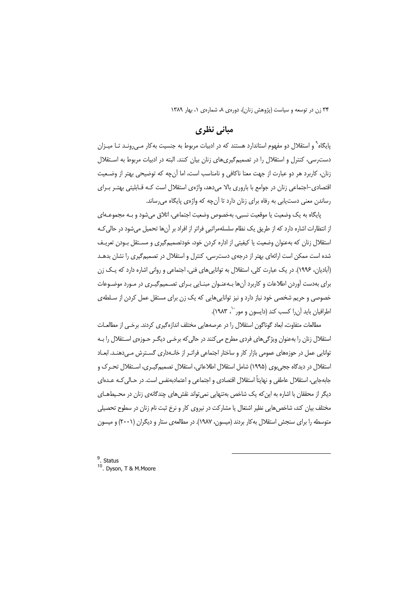# مبانی نظری

پایگاه<sup>۹</sup> و استقلال دو مفهوم استاندارد هستند که در ادبیات مربوط به جنسیت بهکار مـی,رونـد تـا میـزان دست رسی، کنترل و استقلال را در تصمیم گیری های زنان بیان کنند. البته در ادبیات مربوط به استقلال زنان، كاربرد هر دو عبارت از جهت معنا ناكافي و نامناسب است، اما آنچه كه توضيحي بهتر از وضـعيت اقتصادی-اجتماعی زنان در جوامع با باروری بالا میدهد، واژهی استقلال است کـه قـابلیتی بهتـر بـرای رساندن معنی دست یابی به رفاه برای زنان دارد تا آن چه که واژهی پایگاه میرساند.

پایگاه به یک وضعیت یا موقعیت نسبی، بهخصوص وضعیت اجتماعی، اتلاق می شود و بـه مجموعـهای از انتظارات اشاره دارد که از طریق یک نظام سلسلهمراتبی فراتر از افراد بر آنها تحمیل میشود در حالی کـه استقلال زنان كه بهعنوان وضعيت يا كيفيتي از اداره كردن خود، خودتصميم گيري و مستقل بـودن تعريـف شده است ممکن است ارائهای بهتر از درجهی دسترسی، کنترل و استقلال در تصمیمگیری را نشان بدهـد (آبادیان، ۱۹۹۶). در یک عبارت کلی، استقلال به توانایی های فنی، اجتماعی و روانی اشاره دارد که یـک زن برای بهدست آوردن اطلاعات و کاربرد آنها بهعنوان مبنایی بـرای تصـمیمگیـری در مـورد موضـوعات خصوصی و حریم شخصی خود نیاز دارد و نیز تواناییهایی که یک زن برای مستقل عمل کردن از سـلطهی اطرافيان بايد آن را كسب كند (دايسون و مور ``، ١٩٨٣).

مطالعات متفاوت، ابعاد گوناگون استقلال را در عرصههایی مختلف اندازهگیری کردند. برخبی از مطالعــات استقلال زنان را بهعنوان ویژگیهای فردی مطرح میکنند در حالی که برخـی دیگـر حـوزهی اسـتقلال را بـه توانایی عمل در حوزههای عمومی بازار کار و ساختار اجتماعی فراتـر از خانـهداری گسـترش مـی<هنـد. ابعـاد استقلال در دیدگاه ججیبوی (۱۹۹۵) شامل استقلال اطلاعاتی، استقلال تصمیمگیـری، اسـتقلال تحـرک و جابهجايي، استقلال عاطفي و نهايتاً استقلال اقتصادي و اجتماعي و اعتمادبهنفس است. در حـالي كــه عــدهاي دیگر از محققان با اشاره به این که یک شاخص بهتنهایی نمیتواند نقشهای چندگانهی زنان در محیطهای مختلف بیان کند، شاخصهایی نظیر اشتغال یا مشارکت در نیروی کار و نرخ ثبت نام زنان در سطوح تحصیلی متوسطه را برای سنجش استقلال به کار بردند (میسون، ۱۹۸۷). در مطالعهی ستار و دیگران (۲۰۰۱) و میسون

 $9.$  Status <sup>10</sup> Dvson, T & M.Moore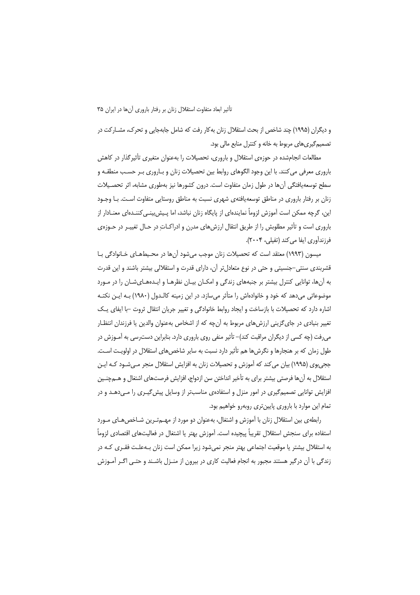و دیگران (۱۹۹۵) چند شاخص از بحث استقلال زنان به کار رفت که شامل جابهجایی و تحرک، مشــارکت در تصمیم گیری های مربوط به خانه و کنترل منابع مالی بود.

مطالعات انجامشده در حوزهى استقلال و بارورى، تحصيلات را بهعنوان متغيرى تأثيرگذار در كاهش باروری معرفی می کنند. با این وجود الگوهای روابط بین تحصیلات زنان و بـاروری بـر حسـب منطقـه و سطح توسعه یافتگی آنها در طول زمان متفاوت است. درون کشورها نیز بهطوری مشابه، اثر تحصـیلات زنان بر رفتار باروری در مناطق توسعه یافتهی شهری نسبت به مناطق روستایی متفاوت اسـت. بـا وجـود این، گرچه ممکن است آموزش لزوماً نمایندهای از پایگاه زنان نباشد، اما پـیش بینـی کننـدهای معنـادار از باروری است و تأثیر مطلوبش را از طریق انتقال ارزشهای مدرن و ادراکـاتِ در حـال تغییـر در حـوزهی فرزندآوري ايفا مي كند (تفيلي، ٢٠٠۴).

میسون (۱۹۹۳) معتقد است که تحصیلات زنان موجب میشود آنها در محیطهـای خـانوادگی بـا قشربندی سنتی–جنسیتی و حتی در نوع متعادل تر آن، دارای قدرت و استقلالی بیشتر باشند و این قدرت به آنها، توانایی کنترل بیشتر بر جنبههای زندگی و امکـان بیـان نظرهـا و ایـدههـایشـان را در مـورد موضوعاتی میدهد که خود و خانوادهاش را متأثر میسازد. در این زمینه کالـدول (۱۹۸۰) بـه ایــن نکتــه اشاره دارد که تحصیلات با بازساخت و ایجاد روابط خانوادگی و تغییر جریان انتقال ثروت –با ایفای پـک تغییر بنیادی در جایگزینی ارزشهای مربوط به آنچه که از اشخاص بهعنوان والدین یا فرزندان انتظـار میرفت (چه کسی از دیگران مراقبت کند)– تأثیر منفی روی باروری دارد. بنابراین دسترسی به آمـوزش در طول زمان که بر هنجارها و نگرش ها هم تأثیر دارد نسبت به سایر شاخص های استقلال در اولویت اسـت. ججیبوی (۱۹۹۵) بیان می کند که آموزش و تحصیلات زنان به افزایش استقلال منجر مـیشـود کـه ایـن استقلال به آنها فرصتی بیشتر برای به تأخیر انداختن سن ازدواج، افزایش فرصتهای اشتغال و هــمچنــین افزایش توانایی تصمیم گیری در امور منزل و استفادهی مناسبتر از وسایل پیش گیـری را مـی<هـد و در تمام این موارد با باروری پایینتری روبهرو خواهیم بود.

رابطهی بین استقلال زنان با آموزش و اشتغال، بهعنوان دو مورد از مهـجتـرین شـاخص هـای مـورد استفاده برای سنجش استقلال تقریباً پیچیده است. آموزش بهتر یا اشتغال در فعالیتهای اقتصادی لزوماً به استقلال بیشتر یا موقعیت اجتماعی بهتر منجر نمیشود زیرا ممکن است زنان بـهعلـت فقـری کـه در زندگی با آن درگیر هستند مجبور به انجام فعالیت کاری در بیرون از منـزل باشـند و حتـی اگـر آمـوزش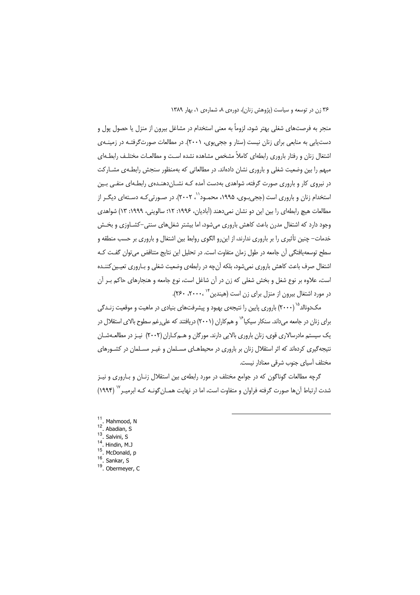منجر به فرصتهای شغلی بهتر شود، لزوماً به معنی استخدام در مشاغل بیرون از منزل یا حصول پول و دست یابی به منابعی برای زنان نیست (ستار و ججیبوی، ۲۰۰۱). در مطالعات صورتگرفتـه در زمینـهی اشتغال زنان و رفتار باروری رابطهای کاملاً مشخص مشاهده نشده است و مطالعـات مختلـف رابطـهای مبهم را بین وضعیت شغلی و باروری نشان دادهاند. در مطالعاتی که بهمنظور سنجش رابطـهی مشــارکت در نیروی کار و باروری صورت گرفته، شواهدی بهدست آمده کـه نشــان(دهنــدهی رابطـهای منفــی بـین استخدام زنان و باروری است (ججی بـوی، ۱۹۹۵، محمـود'`، ۲۰۰۲). در صـورتی کـه دسـتهای دیگـر از مطالعات هیچ رابطهای را بین این دو نشان نمی دهند (آبادیان، ۱۹۹۶: ۱۲: سالوینی، ۱۹۹۹: ۱۳) شواهدی وجود دارد که اشتغال مدرن باعث کاهش باروری می شود، اما بیشتر شغلهای سنتی–کشـاوزی و بخـش خدمات– چنین تأثیری را بر باروری ندارند، از این,رو الگوی روابط بین اشتغال و باروری بر حسب منطقه و سطح توسعهپافتگی آن جامعه در طول زمان متفاوت است. در تحلیل این نتایج متناقض می توان گفت کـه اشتغال صرف باعث كاهش باروري نمىشود، بلكه أنچه در رابطهى وضعيت شغلي و بـاروري تعيـين كننـده است، علاوه بر نوع شغل و بخش شغلی که زن در آن شاغل است، نوع جامعه و هنجارهای حاکم بـر آن در مورد اشتغال بیرون از منزل برای زن است (هیندین ۱۴ ، ۲۰۰۰، ۲۶۰).

مکدونالد<sup>۱۵</sup> (۲۰۰۰) باروری پایین را نتیجهی بهبود و پیشرفتهای بنیادی در ماهیت و موقعیت زنـدگی برای زنان در جامعه مر داند. سنکار سیکیا<sup>۱۶</sup> و همکاران (۲۰۰۱) دریافتند که علی غم سطوح بالای استقلال در یک سیستم مادرسالاری قوی، زنان باروری بالایی دارند. مورگان و هـمکـاران (۲۰۰۲) نیـز در مطالعـهشـان نتیجهگیری کردهاند که اثر استقلال زنان بر باروری در محیطهـای مسـلمان و غیـر مسـلمان در کشـورهای مختلف آسیای جنوب شرقی معنادار نیست.

گرچه مطالعات گوناگون که در جوامع مختلف در مورد رابطهی بین استقلال زنـان و بـاروری و نیـز شدت ارتباط آنها صورت گرفته فراوان و متفاوت است، اما در نهایت همـان گونـه کـه ابرمیـر <sup>۱۷</sup> (۱۹۹۴)

- <sup>11</sup>. Mahmood, N  $12<sup>7</sup>$ Abadian, S.  $13$
- Salvini, S  $14$
- Hindin, M.J  $15$
- McDonald, p.
- $16$ . Sankar, S
- <sup>19</sup>. Obermeyer, C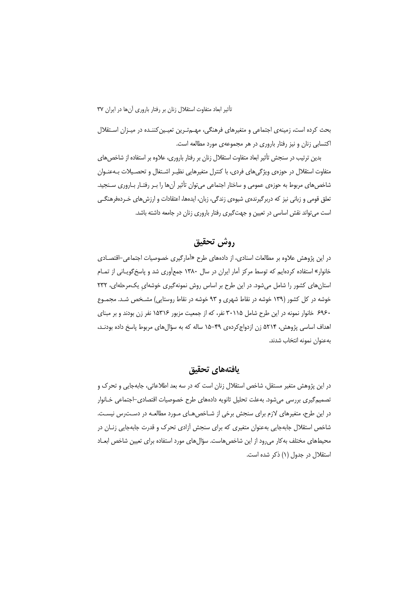بحث کرده است، زمینهی اجتماعی و متغیرهای فرهنگی، مهـمتـرین تعیـین کننـده در میـزان اسـتقلال اکتسابی زنان و نیز رفتار باروری در هر مجموعهی مورد مطالعه است.

بدین ترتیب در سنجش تأثیر ابعاد متفاوت استقلال زنان بر رفتار باروری، علاوه بر استفاده از شاخصهای متفاوت استقلال در حوزهى ويژگىهاى فردى، با كنترل متغيرهايى نظيـر اشـتغال و تحصـيلات بــهعنــوان شاخصهای مربوط به حوزهی عمومی و ساختار اجتماعی می¤وان تأثیر آنها را بـر رفتـار بـاروری سـنجید. تعلق قومی و زبانی نیز که دربرگیرندهی شیوهی زندگی، زبان، ایدهها، اعتقادات و ارزش های خـردهفرهنگــی است می تواند نقش اساسی در تعیین و جهت گیری رفتار باروری زنان در جامعه داشته باشد.

# روش تحقيق

در این پژوهش علاوه بر مطالعات اسنادی، از دادههای طرح «آمارگیری خصوصیات اجتماعی–اقتصـادی خانوار» استفاده کردهایم که توسط مرکز آمار ایران در سال ۱۳۸۰ جمعآوری شد و پاسخگویــانی از تمــام استان های کشور را شامل می شود. در این طرح بر اساس روش نمونهگیری خوشهای یک مرحلهای، ٢٣٢ خوشه در کل کشور (۱۳۹ خوشه در نقاط شهری و ۹۳ خوشه در نقاط روستایی) مشـخص شـد. مجمـوع ۶۹۶۰ خانوار نمونه در این طرح شامل ۳۰۱۱۵ نفر، که از جمعیت مزبور ۱۵۳۱۶ نفر زن بودند و بر مبنای اهداف اساسی پژوهش، ۵۲۱۴ زن ازدواج کردهی ۴۹–۱۵ ساله که به سؤالهای مربوط پاسخ داده بودنـد، بهعنوان نمونه انتخاب شدند.

### يافتههاي تحقيق

در این پژوهش متغیر مستقل، شاخص استقلال زنان است که در سه بعد اطلاعاتی، جابهجایی و تحرک و تصمیم گیری بررسی می شود. به علت تحلیل ثانویه دادههای طرح خصوصیات اقتصادی–اجتماعی خـانوار در این طرح، متغیرهای لازم برای سنجش برخی از شـاخص هـای مـورد مطالعـه در دسـترس نیسـت. شاخص استقلال جابهجایی بهعنوان متغیری که برای سنجش آزادی تحرک و قدرت جابهجایی زنبان در محیطهای مختلف به کار می رود از این شاخصهاست. سؤالهای مورد استفاده برای تعیین شاخص ابعـاد استقلال در جدول (١) ذکر شده است.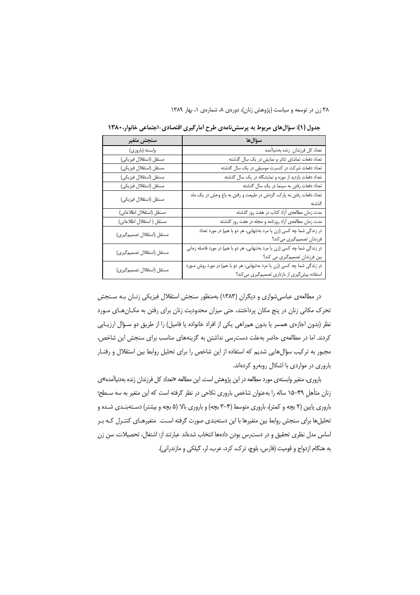| سنجش متغير                 | سؤالها                                                                    |
|----------------------------|---------------------------------------------------------------------------|
| وابسته (باروري)            | تعداد كل فرزندان زنده بهدنياأمده                                          |
| مستقل (استقلال فيزيكي)     | تعداد دفعات تماشای تئاتر و نمایش در یک سال گذشته                          |
| مستقل (استقلال فيزيكي)     | تعداد دفعات شرکت در کنسرت موسیقی در یک سال گذشته                          |
| مستقل (استقلال فيزيكي)     | تعداد دفعات بازدید از موزه و نمایشگاه در یک سال گذشته                     |
| مستقل (استقلال فيزيكي)     | تعداد دفعات رفتن به سینما در یک سال گذشته                                 |
| مستقل (استقلال فيزيكي)     | تعداد دفعات رفتن به پارک، گردش در طبیعت و رفتن به باغ وحش در یک ماه       |
|                            | گذشته                                                                     |
| مستقل (استقلال اطلاعاتى)   | مدت زمان مطالعهى أزاد كتاب در هفت روز گذشته                               |
| مستقل ( استقلال اطلاعاتی)  | مدت زمان مطالعهى آزاد روزنامه و مجله در هفت روز گذشته                     |
| مستقل (استقلال تصميم گيري) | در زندگی شما چه کسی (زن یا مرد بهتنهایی، هر دو با هم) در مورد تعداد       |
|                            | فرزندان تصمیمگیری میکند؟                                                  |
| مستقل (استقلال تصميم گيري) | در زندگی شما چه کسی (زن یا مرد بهتنهایی، هر دو با هم) در مورد فاصله زمانی |
|                            | بین فرزندان تصمیم گیری می کند؟                                            |
|                            | در زندگی شما چه کسی (زن یا مرد بهتنهایی، هر دو با هم) در مورد روش مـورد   |
| مستقل (استقلال تصميم گيري) | استفاده پیش گیری از بارداری تصمیم گیری می کند؟                            |

جدول (۱): سؤالهای مربوط به پرسش نامهی طرح آمارگیری اقتصادی-اجتماعی خانوار، ۱۳۸۰

در مطالعهی عباسی شوازی و دیگران (۱۳۸۳) بهمنظور سنجش استقلال فیزیکی زنـان بـه سـنجش تحرک مکانی زنان در پنج مکان پرداختند، حتی میزان محدودیت زنان برای رفتن به مکـانهـای مـورد نظر (بدون اجازهی همسر یا بدون همراهی یکی از افراد خانواده یا فامیل) را از طریق دو سـؤال ارزیـابی كردند. اما در مطالعهى حاضر بهعلت دست رسى نداشتن به گزينههاى مناسب براى سنجش اين شاخص، مجبور به ترکیب سؤالهایی شدیم که استفاده از این شاخص را برای تحلیل روابط بین استقلال و رفتـار باروری در مواردی با اشکال روبهرو کردهاند.

باروری، متغیر وابستهی مورد مطالعه در این پژوهش است. این مطالعه «تعداد کل فرزندان زنده بهدنیاأمده»ی زنان متأهل ۴۹–۱۵ ساله را بهعنوان شاخص باروری نکاحی در نظر گرفته است که این متغیر به سه سـطح؛ باروری پایین (۲ بچه و کمتر)، باروری متوسط (۴–۳ بچه) و باروری بالا (۵ بچه و بیشتر) دسـتهبنـدی شـده و تحلیلها برای سنجش روابط بین متغیرها با این دستهبندی صورت گرفته است. متغیرهـای کنتـرل کـه بـر اساس مدل نظری تحقیق و در دست رس بودن دادهها انتخاب شدهاند عبارتند از: اشتغال، تحصیلات، سن زن به هنگام ازدواج و قومیت (فارس، بلوچ، ترک، کرد، عرب، لر، گیلکی و مازندرانی).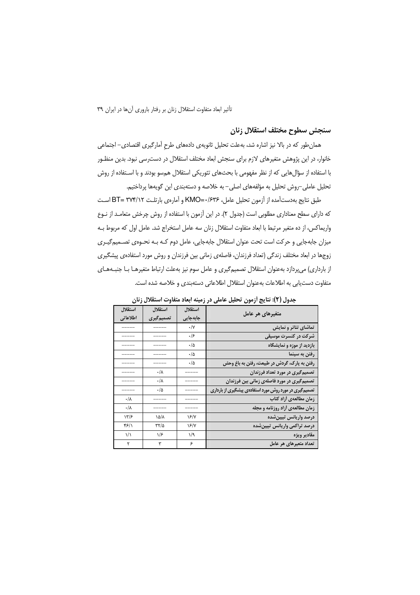#### سنجش سطوح مختلف استقلال زنان

همان طور که در بالا نیز اشاره شد، بهعلت تحلیل ثانویهی دادههای طرح آمارگیری اقتصادی– اجتماعی خانوار، در این پژوهش متغیرهای لازم برای سنجش ابعاد مختلف استقلال در دست رسی نبود. بدین منظـور با استفاده از سؤالءایی که از نظر مفهومی با بحثهای تئوریکی استقلال همسو بودند و با اسـتفاده از روش تحلیل عاملی–روش تحلیل به مؤلفههای اصلی– به خلاصه و دستهبندی این گویهها پرداختیم.

طبق نتايج بهدست آمده از آزمون تحليل عامل، ۲۶۳۶-KMO و آمارهي بارتلـت ۲۷۴/۱۲=BT اسـت كه داراي سطح معناداري مطلوبي است (جدول ٢). در اين آزمون با استفاده از روش چرخش متعامـد از نـوع واريماكس، از ده متغير مرتبط با ابعاد متفاوت استقلال زنان سه عامل استخراج شد. عامل اول كه مربوط بـه میزان جابهجایی و حرکت است تحت عنوان استقلال جابهجایی، عامل دوم کـه بـه نحـوهی تصــمیمگیـری زوجها در ابعاد مختلف زندگی (تعداد فرزندان، فاصلهی زمانی بین فرزندان و روش مورد استفادهی پیشگیری از بارداری) میپردازد بهعنوان استقلال تصمیمگیری و عامل سوم نیز بهعلت ارتباط متغیرهـا بـا جنبـههـای متفاوت دست یابی به اطلاعات بهعنوان استقلال اطلاعاتی دستهبندی و خلاصه شده است.

| متغیرهای هر عامل                                        | استقلال        | استقلال           | استقلال         |
|---------------------------------------------------------|----------------|-------------------|-----------------|
|                                                         | جابهجایی       | تصميم گيري        | اطلاعاتي        |
| تماشای تئاتر و نمایش                                    | $\cdot/\gamma$ |                   |                 |
| شرکت در کنسرت موسیقی                                    | ۰۱۶            |                   |                 |
| بازدید از موزه و نمایشگاه                               | $\cdot/\Delta$ |                   |                 |
| رفتن به سینما                                           | ه/٠            |                   |                 |
| رفتن به پارک، گردش در طبیعت، رفتن به باغ وحش            | ه/٠            |                   |                 |
| تصمیم گیری در مورد تعداد فرزندان                        |                | ۰/۸               |                 |
| تصمیم گیری در مورد فاصلهی زمانی بین فرزندان             |                | ۰/۸               |                 |
| تصمیم گیری در مورد روش مورد استفادهی پیشگیری از بارداری |                | ۰/۵               |                 |
| زمان مطالعهى أزاد كتاب                                  |                |                   | $\cdot/\lambda$ |
| زمان مطالعهی أزاد روزنامه و مجله                        |                |                   | $\cdot/\lambda$ |
| درصد واريانس تبيينشده                                   | ۱۶/۷           | ۱۵/۸              | ۱۳/۶            |
| درصد تراكمى واريانس تبيين شده                           | ۱۶/۷           | $\tau\tau/\Delta$ | ۴۶/۱            |
| مقادير ويژه                                             | ۱/۹            | ۱۱۶               | $\frac{1}{2}$   |
| تعداد متعیرهای هر عامل                                  | ۶              | ٣                 | ٢               |

جدول (٢): نتايج أزمون تحليل عاملي در زمينه ابعاد متفاوت استقلال زنان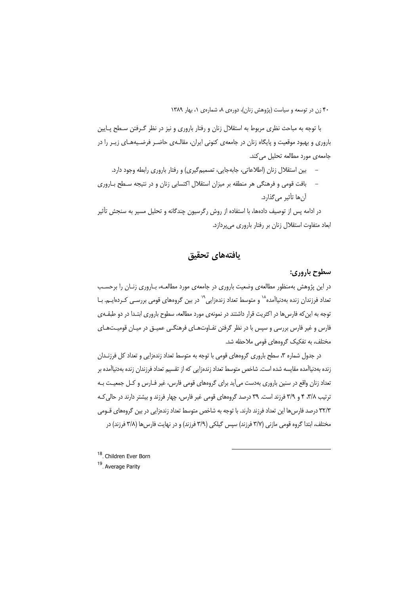با توجه به مباحث نظری مربوط به استقلال زنان و رفتار باروری و نیز در نظر گـرفتن سـطح پـایین باروری و بهبود موقعیت و پایگاه زنان در جامعهی کنونی ایران، مقالـهی حاضـر فرضـیههـای زیـر را در جامعه ی مورد مطالعه تحلیل می کند.

- بین استقلال زنان (اطلاعاتی، جابهجایی، تصمیم گیری) و رفتار باروری رابطه وجود دارد.
- بافت قومی و فرهنگی هر منطقه بر میزان استقلال اکتسابی زنان و در نتیجه سـطح بـاروری آن ها تأثير م*ي گذ*ارد.

در ادامه پس از توصیف دادهها، با استفاده از روش رگرسیون چندگانه و تحلیل مسیر به سنجش تأثیر ابعاد متفاوت استقلال زنان بر رفتار باروری میپردازد.

## يافتههاي تحقيق

#### سطوح باروري:

در این پژوهش بهمنظور مطالعهی وضعیت باروری در جامعهی مورد مطالعـه، بـاروری زنـان را برحسـب تعداد فرزندان زنده بهدنیاآمده<sup>۱۸</sup> و متوسط تعداد زندهزایی<sup>۱۹</sup> در بین گروههای قومی بررس*ـی* کـردهایــم. بـا توجه به این که فارس ها در اکثریت قرار داشتند در نمونهی مورد مطالعه، سطوح باروری ابتـدا در دو طبقـهی فارس و غیر فارس بررسی و سپس با در نظر گرفتن تفـاوتهـای فرهنگـی عمیـق در میـان قومیـتهـای مختلف، به تفكيك گروههاى قومى ملاحظه شد.

در جدول شماره ۳، سطح باروری گروههای قومی با توجه به متوسط تعداد زندهزایی و تعداد کل فرزنـدان زنده بهدنیاآمده مقایسه شده است. شاخص متوسط تعداد زندهزایی که از تقسیم تعداد فرزندان زنده بهدنیاآمده بر تعداد زنان واقع در سنین باروری بهدست می[ید برای گروههای قومی فارس، غیر فـارس و کـل جمعیـت بـه ترتیب ۳/۸، ۴ و ۳/۹ فرزند است. ۳۹ درصد گروههای قومی غیر فارس، چهار فرزند و بیشتر دارند در حالی کـه ۳۲/۳ درصد فارس ها این تعداد فرزند دارند. با توجه به شاخص متوسط تعداد زندهزایی در بین گروههای قــومی مختلف، ابتدا گروه قومی مازنی (۳/۷ فرزند) سپس گیلکی (۳/۹ فرزند) و در نهایت فارس ها (۳/۸ فرزند) در

<sup>18</sup>. Children Ever Born <sup>19</sup>. Average Parity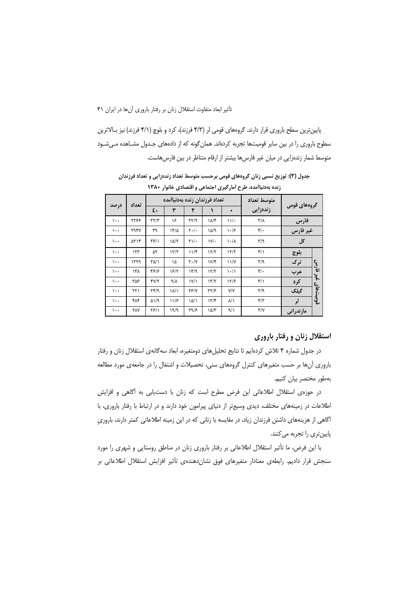پایین ترین سطح باروری قرار دارند. گروههای قومی لر (۴/۳ فرزند)، کرد و بلوچ (۴/۱ فرزند) نیز بـالاترین سطوح باروری را در بین سایر قومیتها تجربه کردهاند. همان گونه که از دادههای جـدول مشــاهده مــی شــود متوسط شمار زندهزایی در میان غیر فارسها بیشتر از ارقام متناظر در بین فارسهاست.

| デデーショー                   |           |                             |                                 |                         |                                    |                   |                 |      |          |
|--------------------------|-----------|-----------------------------|---------------------------------|-------------------------|------------------------------------|-------------------|-----------------|------|----------|
| گروههای قومی             |           | متوسط تعداد                 | تعداد فرزندان زنده بهدنياأمده   |                         |                                    |                   | تعداد           | درصد |          |
|                          |           | زندەزايى                    |                                 |                         | ۲                                  | ٣                 | $\xi$ +         |      |          |
|                          | فارس      | $\mathsf{r}/\mathsf{r}$     | $\mathcal{N}$ .                 | ۱۸/۴                    | $\tau\tau/\tau$                    | ۱۶                | $\tau\tau/\tau$ | 3377 | $\cdots$ |
| غير فارس                 |           | $\mathfrak{r}/\mathfrak{r}$ | $\cdot$ /۶                      | ۱۵/۹                    | $\mathbf{y}$ ./.                   | 18/2              | ٣٩              | ۲۹۴۷ | $\cdots$ |
| کل                       |           | $\mathbf{r}/\mathbf{q}$     | $\lambda \cdot / \lambda$       | $\mathsf{W}/\mathsf{G}$ | $\gamma$                           | ۱۵/۲              | ۳۶/۱            | ۵۲۱۴ | $\cdots$ |
|                          | بلوچ      | $f/\lambda$                 | 17/7                            | 17/7                    | $11/\mathfrak{r}$                  | 17/7              | ۵٢              | 157  | $\cdots$ |
| فارس                     | ترک       | $\mathbf{r}/\mathbf{q}$     | $\frac{1}{\sqrt{2}}$            | $1V/\mathfrak{r}$       | $Y \cdot / Y$                      | ۱۵                | ۳۵/۱            | ۱۳۲۹ | $\cdots$ |
|                          | عرب       | $\mathfrak{r}/\mathfrak{r}$ | $\backslash \cdot / \backslash$ | 17/7                    | 14/9                               | 18/۲              | ۴۶۱۶            | ۱۴۸  | $\cdots$ |
| $\ddot{\bm{\xi}}$ .<br>c | کرد       | ۴/۱                         | 17/5                            | 17/7                    | $\frac{1}{\sqrt{2}}$               | $\lambda/\lambda$ | $\frac{8}{11}$  | ۳۵۶  | $\cdots$ |
| قوميت&ا;                 | گیلک      | $\mathbf{r}/\mathbf{q}$     | Y/Y                             | ۲۲/۶                    | <b>78/7</b>                        | ۱۸/۱              | ۲۴/۹            | ۲۲۱  | $\cdots$ |
|                          | لر        | $\mathbf{r}/\mathbf{r}$     | $\lambda/\lambda$               | 177                     | ۱۵/۱                               | 11/۶              | ۵۱/۹            | ۴۸۴  | $\cdots$ |
|                          | مازندرانی | ۳/۷                         | ۹/۱                             | ۱۵/۳                    | $\mathcal{F}^{\alpha}/\mathcal{F}$ | ۱۹/۹              | ۲۶/۱            | ٢٨٧  | $\cdots$ |

جدول (۳): توزیع نسبی زنان گروههای قومی برحسب متوسط تعداد زندهزایی و تعداد فرزندان زنده بهدنباأمده، طرح أمارگیری احتماعی و اقتصادی خانوار ۱۳۸۰

### استقلال زنان و رفتار باروری

در جدول شماره ۴ تلاش کردهایم تا نتایج تحلیلهای دومتغیره، ابعاد سهگانهی استقلال زنان و رفتار باروری آنها بر حسب متغیرهای کنترل گروههای سنی، تحصیلات و اشتغال را در جامعهی مورد مطالعه بەطور مختصر بيان كنيم.

در حوزهی استقلال اطلاعاتی این فرض مطرح است که زنان با دستیابی به آگاهی و افزایش اطلاعات در زمینههای مختلف، دیدی وسیعتر از دنیای پیرامون خود دارند و در ارتباط با رفتار باروری، با آگاهی از هزینههای داشتن فرزندان زیاد، در مقایسه با زنانی که در این زمینه اطلاعاتی کمتر دارند، باروری پایینتری را تجربه می کنند.

با این فرض، ما تأثیر استقلال اطلاعاتی بر رفتار باروری زنان در مناطق روستایی و شهری را مورد سنجش قرار دادیم. رابطهی معنادار متغیرهای فوق نشان دهندهی تأثیر افزایش استقلال اطلاعاتی بر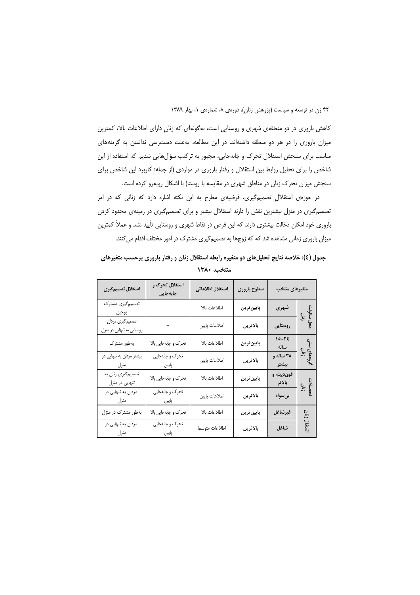کاهش باروری در دو منطقهی شهری و روستایی است، بهگونهای که زنان دارای اطلاعات بالا، کمترین میزان باروری را در هر دو منطقه داشتهاند. در این مطالعه، بهعلت دست رسی نداشتن به گزینههای مناسب برای سنجش استقلال تحرک و جابهجایی، مجبور به ترکیب سؤالهایی شدیم که استفاده از این شاخص را برای تحلیل روابط بین استقلال و رفتار باروری در مواردی (از جمله؛ کاربرد این شاخص برای سنجش میزان تحرک زنان در مناطق شهری در مقایسه با روستا) با اشکال روبهرو کرده است.

در حوزهی استقلال تصمیم گیری، فرضیهی مطرح به این نکته اشاره دارد که زنانی که در امر تصمیم گیری در منزل بیشترین نقش را دارند استقلال بیشتر و برای تصمیم گیری در زمینهی محدود کردن باروری خود امکان دخالت بیشتری دارند که این فرض در نقاط شهری و روستایی تأیید نشد و عملاً کمترین میزان باروری زمانی مشاهده شد که که زوجها به تصمیم گیری مشترک در امور مختلف اقدام می کنند.

| استقلال تصميم گيري                           | استقلال تحرک و<br>جابەجايى | استقلال اطلاعاتى | سطوح بارورى | متغيرهاى منتخب       |                           |  |
|----------------------------------------------|----------------------------|------------------|-------------|----------------------|---------------------------|--|
| تصمیم گیری مشترک<br>زوجين                    |                            | اطلاعات بالا     | پايينترين   | شهری                 |                           |  |
| تصمیمگیری مردان<br>روستایی به تنهایی در منزل |                            | اطلاعات پايين    | بالاترين    | روستايي              | محل سکونت<br>زنان<br>زنان |  |
| بەطور مشترک                                  | تحرک و جابهجایی بالا       | اطلاعات بالا     | پايين ترين  | $10 - 75$<br>ساله    | گروههای '<br>زنان         |  |
| بیشتر مردان به تنهایی در<br>منزل             | تحرک و جابهجایی<br>پایین   | اطلاعات پايين    | بالاترين    | ۳۵ ساله و<br>ييشتر   |                           |  |
| تصمیمگیری زنان به<br>تنهایی در منزل          | تحرک و جابهجایی بالا       | اطلاعات بالا     | يايين ترين  | فوقديپلم و<br>بالاتر | تحصیلات<br>زنان           |  |
| مردان به تنهایی در<br>منزل                   | تحرک و جابهجایی<br>پایین   | اطلاعات پايين    | بالاترين    | بىسواد               |                           |  |
| بهطور مشترک در منزل                          | تحرک و جابهجایی بالا       | اطلاعات بالا     | پايين ترين  | غيرشاغل              | زنان                      |  |
| مردان به تنهایی در<br>منزل                   | تحرک و جابهجایی<br>پایین   | اطلاعات متوسط    | بالاترين    | شاغل                 | تشكي                      |  |

جدول (٤): خلاصه نتایج تحلیلهای دو متغیره رابطه استقلال زنان و رفتار باروری برحسب متغیرهای منتخب، ١٣٨٠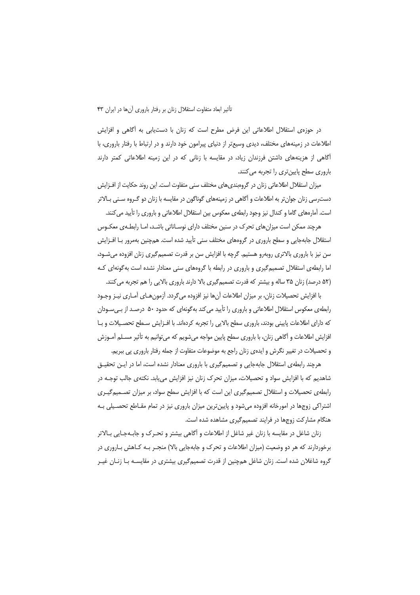در حوزهى استقلال اطلاعاتى اين فرض مطرح است كه زنان با دست يابى به أكاهى و افزايش اطلاعات در زمینههای مختلف، دیدی وسیعتر از دنیای پیرامون خود دارند و در ارتباط با رفتار باروری، با آگاهی از هزینههای داشتن فرزندان زیاد، در مقایسه با زنانی که در این زمینه اطلاعاتی کمتر دارند باروری سطح پایینتری را تجربه میکنند.

میزان استقلال اطلاعاتی زنان در گروهبندیهای مختلف سنی متفاوت است. این روند حکایت از افـزایش دست٫سی زنان جوان تر به اطلاعات و آگاهی در زمینههای گوناگون در مقایسه با زنان دو گـروه سـنی بـالاتر است. آمارههای گاما و کندال نیز وجود رابطهی معکوس بین استقلال اطلاعاتی و باروری را تأیید می کنند.

هرچند ممکن است میزانهای تحرک در سنین مختلف دارای نوسـاناتی باشـد، امـا رابطـهی معکـوس استقلال جابهجایی و سطح باروری در گروههای مختلف سنی تأیید شده است. همچنین بهمرور بـا افـزایش سن نیز با باروری بالاتری روبهرو هستیم. گرچه با افزایش سن بر قدرت تصمیم گیری زنان افزوده میشــود، اما رابطهی استقلال تصمیم گیری و باروری در رابطه با گروههای سنی معنادار نشده است به گونهای کـه (۵۲ درصد) زنان ۳۵ ساله و بیشتر که قدرت تصمیمگیری بالا دارند باروری بالایی را هم تجربه می کنند.

با افزایش تحصیلات زنان، بر میزان اطلاعات آنها نیز افزوده می5ردد. آزمونهـای آمـاری نیـز وجـود رابطهی معکوس استقلال اطلاعاتی و باروری را تأیید می کند بهگونهای که حدود ۵۰ درصـد از بـی.ســودان که دارای اطلاعات پایینی بودند، باروری سطح بالایی را تجربه کردهاند. با افـزایش سـطح تحصـیلات و بـا افزایش اطلاعات و آگاهی زنان، با باروری سطح پایین مواجه میشویم که میتوانیم به تأثیر مسـلم آمـوزش و تحصیلات در تغییر نگرش و ایدهی زنان راجع به موضوعات متفاوت از جمله رفتار باروری پی ببریم.

هرچند رابطهی استقلال جابهجایی و تصمیمگیری با باروری معنادار نشده است، اما در ایــن تحقیــق شاهدیم که با افزایش سواد و تحصیلات، میزان تحرک زنان نیز افزایش می،یابد. نکتهی جالب توجـه در رابطهی تحصیلات و استقلال تصمیم گیری این است که با افزایش سطح سواد، بر میزان تصـمیم گیـری اشتراکی زوجها در امورخانه افزوده می شود و پایین ترین میزان باروری نیز در تمام مقـاطع تحصـیلی بـه هنگام مشارکت زوجها در فرایند تصمیمگیری مشاهده شده است.

زنان شاغل در مقايسه با زنان غير شاغل از اطلاعات و آگاهي بيشتر و تحـرک و جابـهجـايي بـالاتر برخوردارند که هر دو وضعیت (میزان اطلاعات و تحرک و جابهجایی بالا) منجـر بــه کــاهش بــاروری در گروه شاغلان شده است. زنان شاغل همچنین از قدرت تصمیمگیری بیشتری در مقایسـه بـا زنـان غیـر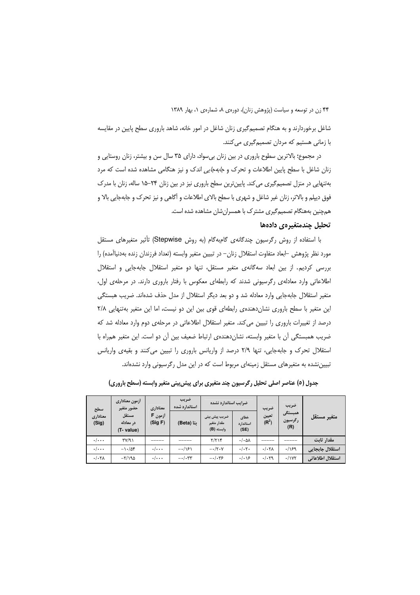شاغل برخوردارند و به هنگام تصمیمگیری زنان شاغل در امور خانه، شاهد باروری سطح پایین در مقایسه با زمانی هستیم که مردان تصمیمگیری میکنند.

در مجموع؛ بالاترین سطوح باروری در بین زنان بیسواد، دارای ۳۵ سال سن و بیشتر، زنان روستایی و زنان شاغل با سطح پایین اطلاعات و تحرک و *جابهجایی* اندک و نیز هنگامی مشاهده شده است که مرد بهتنهایی در منزل تصمیمگیری می کند. پایین ترین سطح باروری نیز در بین زنان ۲۴–۱۵ ساله، زنان با مدرک فوق دیپلم و بالاتر، زنان غیر شاغل و شهری با سطح بالای اطلاعات و آگاهی و نیز تحرک و جابهجایی بالا و همچنین بههنگام تصمیم گیری مشترک با همسرانشان مشاهده شده است.

#### تحليل چندمتغيرهي دادهها

با استفاده از روش رگرسیون چندگانهی گامبهگام (به روش Stepwise) تأثیر متغیرهای مستقل مورد نظر پژوهش –ابعاد متفاوت استقلال زنان– در تبيين متغير وابسته (تعداد فرزندان زنده بهدنياآمده) را بررسی کردیم. از بین ابعاد سهگانهی متغیر مستقل، تنها دو متغیر استقلال جابهجایی و استقلال اطلاعاتی وارد معادلهی رگرسیونی شدند که رابطهای معکوس با رفتار باروری دارند. در مرحلهی اول، متغیر استقلال جابهجایی وارد معادله شد و دو بعد دیگر استقلال از مدل حذف شدهاند. ضریب هبستگی این متغیر با سطح باروری نشاندهندهی رابطهای قوی بین این دو نیست، اما این متغیر بهتنهایی ۲/۸ درصد از تغییرات باروری را تبیین می کند. متغیر استقلال اطلاعاتی در مرحلهی دوم وارد معادله شد که ضریب همبستگی اّن با متغیر وابسته، نشانِ دهندهی ارتباط ضعیف بین اّن دو است. این متغیر همراه با استقلال تحرک و جابهجایی، تنها ۲/۹ درصد از واریانس باروری را تبیین می کنند و بقیهی واریانس تبیین نشده به متغیرهای مستقل زمینهای مربوط است که در این مدل رگرسیونی وارد نشدهاند.

| سطح                     | أزمون معنادارى<br>حضور متغير     | معناداري           | ضريب<br>استاندارد شده       | ضرايب استاندارد نشده                       |                              | ضريب<br>ضريب                     |                    |                  |  |
|-------------------------|----------------------------------|--------------------|-----------------------------|--------------------------------------------|------------------------------|----------------------------------|--------------------|------------------|--|
| معناداري<br>(Sig)       | مستقل<br>در معادله<br>(T- value) | أزمون F<br>(Sig F) | نتا (Beta)                  | ضریب پیش بینی<br>مقدار متغير<br>وابسته (B) | خطاى<br>استاندارد<br>(SE)    | تعيين<br>$(\mathbf{R}^2)$<br>(R) | همبستگى<br>رگرسیون | متغير مستقل      |  |
| $\cdot$ $\cdot$ $\cdot$ | $\Gamma Y/\gamma$                |                    |                             | Y/YY                                       | $\cdot/\cdot \Delta \Lambda$ |                                  |                    | مقدار ثابت       |  |
| $\cdot$ $\cdot$ $\cdot$ | $-\frac{1}{4}$                   | $\cdot/\cdot\cdot$ | $-\cdot/\sqrt{2}$           | $-\cdot/\tau \cdot \gamma$                 | $\cdot/\cdot \tau$ .         | $./-7A$                          | .199               | استقلال جابجايي  |  |
| . / . 7 <sub>A</sub>    | $-\frac{5}{100}$                 | $\cdot/\cdot\cdot$ | $-\cdot/\cdot$ $\mathbf{y}$ | $-\cdot/\cdot$ ۳۶                          | $.  . \rangle$ ۶             | .1.79                            | .1YY               | استقلال اطلاعاتي |  |

جدول (٥) عناصر اصلی تحلیل رگرسیون چند متغیری برای پیش بینی متغیر وابسته (سطح باروری)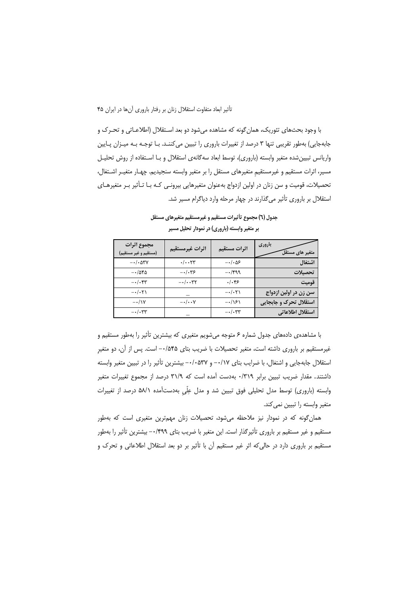$\cdot$  /  $\cdot$   $\tau$   $\tau$ 

با وجود بحثهای تئوریک، همان گونه که مشاهده می شود دو بعد اسـتقلال (اطلاعـاتی و تحـرک و جابهجایی) بهطور تقریبی تنها ۳ درصد از تغییرات باروری را تبیین می کننـد. بـا توجـه بـه میـزان پـایین واریانس تبیینشده متغیر وابسته (باروری)، توسط ابعاد سهگانهی استقلال و بـا اسـتفاده از روش تحلیـل مسیر، اثرات مستقیم و غیرمستقیم متغیرهای مستقل را بر متغیر وابسته سنجیدیم. چهـار متغیـر اشـتغال، تحصیلات، قومیت و سن زنان در اولین ازدواج بهعنوان متغیرهایی بیرونبی کـه بـا تـأثیر بـر متغیرهـای استقلال بر باروری تأثیر می گذارند در چهار مرحله وارد دیاگرام مسیر شد.

|                          | ת יידע לייין וינגנטו יו ידיע יידיע ייזעט |                                  |                                            |
|--------------------------|------------------------------------------|----------------------------------|--------------------------------------------|
| باروري<br>نغیر های مستقل | اثرات مستقيم                             | اثرات غيرمستقيم                  | مجموع اثرات<br>(مستقيم و غير مستقيم)       |
| ستغال                    | $-\cdot/\cdot\Delta5$                    | $\cdot/\cdot\cdot$               | $-\cdot/\cdot\Delta \mathsf{r} \mathsf{v}$ |
| حصيلات                   | $-1499$                                  | $-\cdot/\cdot$ ۳۶                | $-\cdot/\Delta$ ۴۵                         |
| وميت                     | $.$ /۰۴۶                                 | $-\cdot/\cdot \cdot \mathsf{YY}$ | $-\cdot/\cdot$ ۴۳                          |
| ىن زن در اولين ازدواج    | $-\cdot/\cdot\tau$                       |                                  | $-\cdot/\cdot \tau$                        |
| ستقلال تحرک و حایجایی    | $-\cdot/\sqrt{2}$                        | $-\cdot/\cdot\cdot$ Y            | $-\cdot/\lambda$                           |

 $-$ ./. $rr$ 

استقلال اطلاعاتي

جدول (٦) مجموع تأثيرات مستقيم و غيرمستقيم متغيرهاي مستقل ير متغير وابسته (باروري) در نمودار تحليل مسير

با مشاهدهی دادههای جدول شماره ۶ متوجه میشویم متغیری که بیشترین تأثیر را بهطور مستقیم و غیرمستقیم بر باروری داشته است، متغیر تحصیلات با ضریب بتای ۰۰/۵۴۵– است. پس از آن، دو متغیر استقلال جابهجایی و اشتغال، با ضرایب بتای ۰۰/۱۷– و ۰۰/۰۵۳۷– بیشترین تأثیر را در تبیین متغیر وابسته داشتند. مقدار ضریب تبیین برابر ۰/۳۱۹ بهدست آمده است که ۳۱/۹ درصد از مجموع تغییرات متغیر وابسته (باروری) توسط مدل تحلیلی فوق تبیین شد و مدل عِلّی بهدستآمده ۵۸/۱ درصد از تغییرات متغیر وابسته را تبیین نمی کند.

همانگونه که در نمودار نیز ملاحظه میشود، تحصیلات زنان مهمترین متغیری است که بهطور مستقیم و غیر مستقیم بر باروری تأثیرگذار است. این متغیر با ضریب بتای ۰۰/۴۹۹— بیشترین تأثیر را بهطور مستقیم بر باروری دارد در حالی که اثر غیر مستقیم آن با تأثیر بر دو بعد استقلال اطلاعاتی و تحرک و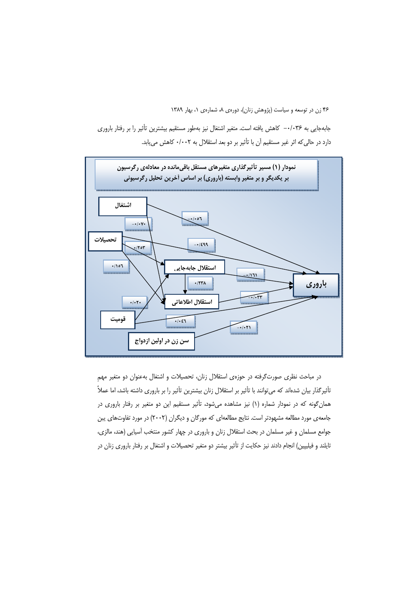جابهجایی به ۲۶-۰- کاهش یافته است. متغیر اشتغال نیز بهطور مستقیم بیشترین تأثیر را بر رفتار باروری دارد در حالی که اثر غیر مستقیم آن با تأثیر بر دو بعد استقلال به ۰/۰۰۲ کاهش می یابد.



در مباحث نظری صورت گرفته در حوزهی استقلال زنان، تحصیلات و اشتغال به عنوان دو متغیر مهم تأثیرگذار بیان شدهاند که میتوانند با تأثیر بر استقلال زنان بیشترین تأثیر را بر باروری داشته باشد، اما عملاً همان گونه که در نمودار شماره (۱) نیز مشاهده میشود، تأثیر مستقیم این دو متغیر بر رفتار باروری در جامعه ی مورد مطالعه مشهودتر است. نتایج مطالعهای که مورگان و دیگران (۲۰۰۲) در مورد تفاوتهای پبن جوامع مسلمان و غیر مسلمان در بحث استقلال زنان و باروری در چهار کشور منتخب آسیایی (هند، مالزی، تایلند و فیلیپین) انجام دادند نیز حکایت از تأثیر بیشتر دو متغیر تحصیلات و اشتغال بر رفتار باروری زنان در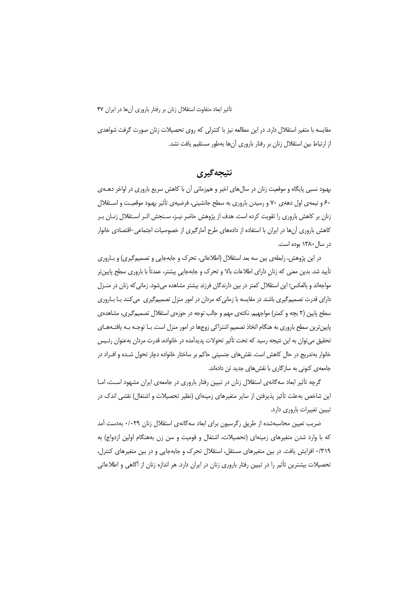مقایسه با متغیر استقلال دارد. در این مطالعه نیز با کنترلی که روی تحصیلات زنان صورت گرفت شواهدی از ارتباط بین استقلال زنان بر رفتار باروری آنها بهطور مستقیم یافت نشد.

### نتيجه گيري

بهبود نسبی پایگاه و موقعیت زنان در سال های اخیر و همزمانی آن با کاهش سریع باروری در اواخر دهــهی ۶۰ و نیمهی اول دههی ۷۰ و رسیدن باروری به سطح جانشینی، فرضیهی تأثیر بهبود موقعیت و استقلال زنان بر کاهش باروری را تقویت کرده است. هدف از پژوهش حاضر نیـز، سـنجش اثـر اسـتقلال زنـان بـر کاهش باروری آنها در ایران با استفاده از دادههای طرح آمارگیری از خصوصیات اجتماعی–اقتصادی خانوار در سال ۱۳۸۰ بوده است.

در این پژوهش، رابطهی بین سه بعد استقلال (اطلاعاتی، تحرک و جابهجایی و تصمیمگیری) و بـاروری تأييد شد. بدين معنى كه زنان داراي اطلاعات بالا و تحرك و جابهجايي بيشتر، عمدتاً با باروري سطح پايينتر مواجهاند و بالعکس؛ این استقلال کمتر در بین دارندگان فرزند بیشتر مشاهده میشود. زمانی که زنان در منـزل دارای قدرت تصمیم گیری باشند در مقایسه با زمانی که مردان در امور منزل تصمیم گیری می کنند بـا بـاروری سطح پایین (۲ بچه و کمتر) مواجهیم. نکتهی مهم و جالب توجه در حوزهی استقلال تصمیم گیری، مشاهدهی پایینترین سطح باروری به هنگام اتخاذ تصمیم اشتراکی زوجها در امور منزل است. بـا توجـه بـه یافتـههـای تحقیق می توان به این نتیجه رسید که تحت تأثیر تحولات پدیدآمده در خانواده، قدرت مردان بهعنوان رئـیس خانوار بهتدریج در حال کاهش است. نقش های جنسیتی حاکم بر ساختار خانواده دچار تحول شـده و افـراد در جامعه ی کنونی به سازگاری با نقش های جدید تن دادهاند.

گرچه تأثیر ابعاد سه گانهی استقلال زنان در تبیین رفتار باروری در جامعهی ایران مشهود است، امـا این شاخص بهعلت تأثیر پذیرفتن از سایر متغیرهای زمینهای (نظیر تحصیلات و اشتغال) نقشی اندک در تبيين تغييرات باروري دارد.

ضریب تعیین محاسبهشده از طریق رگرسیون برای ابعاد سه گانهی استقلال زنان ۰/۰۲۹ بهدست آمد که با وارد شدن متغیرهای زمینهای (تحصیلات، اشتغال و قومیت و سن زن بههنگام اولین ازدواج) به ۰/۳۱۹ افزایش یافت. در بین متغیرهای مستقل، استقلال تحرک و جابهجایی و در بین متغیرهای کنترل، تحصیلات بیشترین تأثیر را در تبیین رفتار باروری زنان در ایران دارد. هر اندازه زنان از آگاهی و اطلاعاتی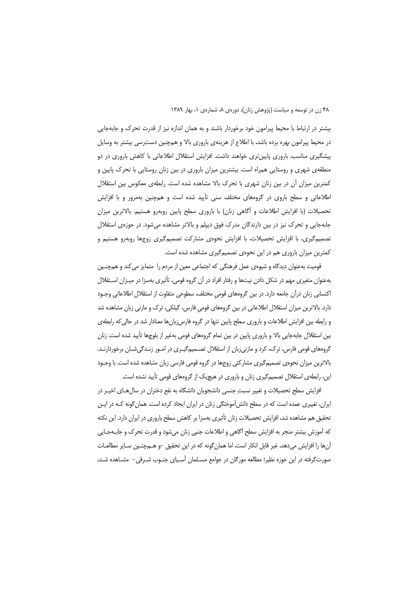بیشتر در ارتباط با محیط پیرامون خود برخوردار باشند و به همان اندازه نیز از قدرت تحرک و جابهجایی در محیط پیرامون بهره برده باشد، با اطلاع از هزینهی باروری بالا و همچنین دسترسی بیشتر به وسایل پیشگیری مناسب، باروری پایین تری خواهند داشت. افزایش استقلال اطلاعاتی با کاهش باروری در دو منطقهی شهری و روستایی همراه است. بیشترین میزان باروری در بین زنان روستایی با تحرک پایین و كمترين ميزان آن در بين زنان شهري با تحرك بالا مشاهده شده است. رابطهي معكوس بين استقلال اطلاعاتی و سطح باروی در گروههای مختلف سنی تأیید شده است و همچنین بهمرور و با افزایش تحصیلات (با افزایش اطلاعات و آگاهی زنان) با باروری سطح پایین روبهرو هستیم. بالاترین میزان جابهجایی و تحرک نیز در بین دارندگان مدرک فوق دیپلم و بالاتر مشاهده میشود. در حوزهی استقلال تصمیم گیری، با افزایش تحصیلات، با افزایش نحوهی مشارکت تصمیم گیری زوجها روبهرو هستیم و كمترين ميزان باروري هم در اين نحوهي تصميم گيري مشاهده شده است.

قومیت بهعنوان دیدگاه و شیوهی عمل فرهنگی که اجتماعی معین از مردم را متمایز می کند و همچنـین بهعنوان متغیری مهم در شکل دادن نیتها و رفتار افراد در آن گروه قومی، تأثیری بهسزا در میـزان اسـتقلال اکتسابی زنان درآن جامعه دارد. در بین گروههای قومی مختلف، سطوحی متفاوت از استقلال اطلاعاتی وجـود دارد. بالاترین میزان استقلال اطلاعاتی در بین گروههای قومی فارس، گیلکی، ترک و مازنی زبان مشاهده شد و رابطه بین افزایش اطلاعات و باروری سطح پایین تنها در گروه فارس;بانها معنادار شد در حالی که رابطهی بین استقلال جابهجایی بالا و باروری پایین در بین تمام گروههای قومی بهغیر از بلوچها تأیید شده است. زنان گروههای قومی فارس، ترک، کرد و مازنیiبان از استقلال تصـمیمگیـری در امـور زنـدگیشـان برخوردارنـد. بالاترین میزان نحوهی تصمیم گیری مشارکتی زوجها در گروه قومی فارسی زبان مشاهده شده است. با وجـود این، رابطهی استقلال تصمیمگیری زنان و باروری در هیچیک از گروههای قومی تأیید نشده است.

افزایش سطح تحصیلات و تغییر نسبت جنسی دانشجویان دانشگاه به نفع دختران در سال هـای اخیـر در ایران، تغییری عمده است که در سطح دانش[موختگی زنان در ایران ایجاد کرده است. همان گونه کـه در ایـن تحقیق هم مشاهده شد، افزایش تحصیلات زنان تأثیری بهسزا بر کاهش سطح باروری در ایران دارد. این نکته كه آموزش بيشتر منجر به افزايش سطح أگاهي و اطلاعات جنبي زنان ميشود و قدرت تحرك و جابـهجـايي آنها را افزایش میدهد، غیر قابل انکار است، اما همان گونه که در این تحقیق –و هــمچنـین سـایر مطالعـات صورتگرفته در این حوزه نظیر؛ مطالعه مورگان در جوامع مسـلمان آسـیای جنـوب شـرقی– مشـاهده شـد،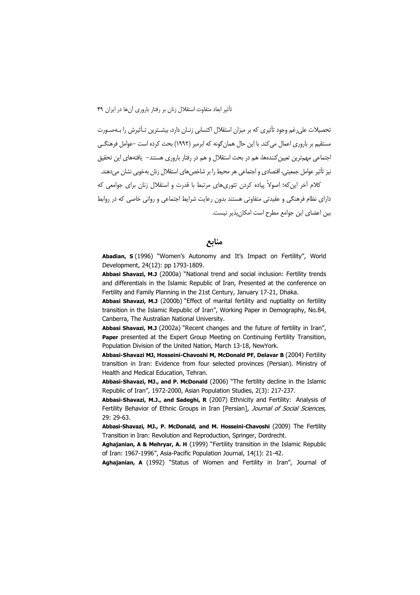تحصیلات علی رغم وجود تأثیری که بر میزان استقلال اکتسابی زنـان دارد، بیشـترین تـأثیرش را بـهصـورت مستقیم پر باروری اعمال می کند. با این حال همان گونه که ابرمیر (۱۹۹۲) بحث کرده است –عوامل فرهنگــی اجتماعی مهمترین تعیین کنندهها، هم در بحث استقلال و هم در رفتار باروری هستند– یافتههای این تحقیق نیز تأثیر عوامل جمعیتی، اقتصادی و اجتماعی هر محیط را بر شاخص های استقلال زنان بهخوبی نشان می دهند. کلام آخر این که؛ اصولاً پیاده کردن تئوری های مرتبط با قدرت و استقلال زنان برای جوامعی که دارای نظام فرهنگی و عقیدتی متفاوتی هستند بدون رعایت شرایط اجتماعی و روانی خاصی که در روابط بین اعضای این جوامع مطرح است امکان پذیر نیست.

منابع

Abadian, S (1996) "Women's Autonomy and It's Impact on Fertility", World Development, 24(12): pp 1793-1809.

Abbasi Shavazi, M.J (2000a) "National trend and social inclusion: Fertility trends and differentials in the Islamic Republic of Iran, Presented at the conference on Fertility and Family Planning in the 21st Century, January 17-21, Dhaka.

Abbasi Shavazi, M.J (2000b) "Effect of marital fertility and nuptiality on fertility transition in the Islamic Republic of Iran", Working Paper in Demography, No.84, Canberra, The Australian National University.

Abbasi Shavazi, M.J (2002a) "Recent changes and the future of fertility in Iran", Paper presented at the Expert Group Meeting on Continuing Fertility Transition, Population Division of the United Nation, March 13-18, NewYork.

Abbasi-Shavazi MJ, Hosseini-Chavoshi M, McDonald PF, Delavar B (2004) Fertility transition in Iran: Evidence from four selected provinces (Persian). Ministry of Health and Medical Education, Tehran.

Abbasi-Shavazi, MJ., and P. McDonald (2006) "The fertility decline in the Islamic Republic of Iran", 1972-2000, Asian Population Studies, 2(3): 217-237.

Abbasi-Shavazi, M.J., and Sadeghi, R (2007) Ethnicity and Fertility: Analysis of Fertility Behavior of Ethnic Groups in Iran [Persian], Journal of Social Sciences, 29: 29-63.

Abbasi-Shavazi, MJ., P. McDonald, and M. Hosseini-Chavoshi (2009) The Fertility Transition in Iran: Revolution and Reproduction, Springer, Dordrecht.

Aghajanian, A & Mehryar, A. H (1999) "Fertility transition in the Islamic Republic of Iran: 1967-1996", Asia-Pacific Population Journal, 14(1): 21-42.

Aghajanian, A (1992) "Status of Women and Fertility in Iran", Journal of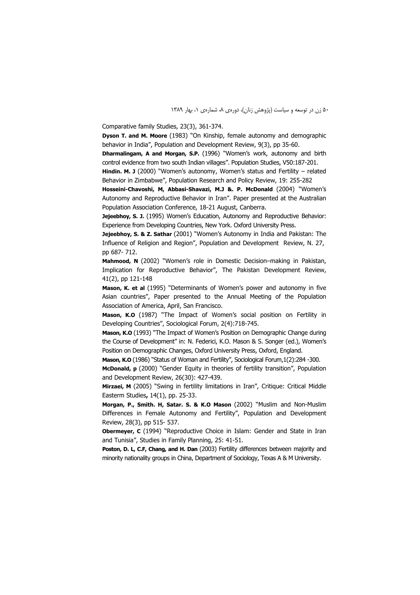Comparative family Studies, 23(3), 361-374.

Dyson T. and M. Moore (1983) "On Kinship, female autonomy and demographic behavior in India", Population and Development Review, 9(3), pp 35-60.

Dharmalingam, A and Morgan, S.P. (1996) "Women's work, autonomy and birth control evidence from two south Indian villages". Population Studies, V50:187-201.

Hindin. M. J (2000) "Women's autonomy, Women's status and Fertility  $-$  related Behavior in Zimbabwe", Population Research and Policy Review, 19: 255-282

Hosseini-Chavoshi, M, Abbasi-Shavazi, M.J &. P. McDonald (2004) "Women's Autonomy and Reproductive Behavior in Iran". Paper presented at the Australian Population Association Conference, 18-21 August, Canberra.

Jejeebhoy, S. J. (1995) Women's Education, Autonomy and Reproductive Behavior: Experience from Developing Countries, New York. Oxford University Press.

Jejeebhoy, S. & Z. Sathar (2001) "Women's Autonomy in India and Pakistan: The Influence of Religion and Region", Population and Development Review, N. 27, pp 687-712.

Mahmood, N (2002) "Women's role in Domestic Decision-making in Pakistan, Implication for Reproductive Behavior", The Pakistan Development Review, 41(2), pp 121-148

Mason, K. et al (1995) "Determinants of Women's power and autonomy in five Asian countries", Paper presented to the Annual Meeting of the Population Association of America, April, San Francisco.

Mason, K.O (1987) "The Impact of Women's social position on Fertility in Developing Countries", Sociological Forum, 2(4):718-745.

Mason, K.O (1993) "The Impact of Women's Position on Demographic Change during the Course of Development" in: N. Federici, K.O. Mason & S. Songer (ed.), Women's Position on Demographic Changes, Oxford University Press, Oxford, England.

Mason, K.O (1986) "Status of Woman and Fertility", Sociological Forum, 1(2):284 -300.

McDonald, p (2000) "Gender Equity in theories of fertility transition", Population and Development Review, 26(30): 427-439.

Mirzaei, M (2005) "Swing in fertility limitations in Iran", Critique: Critical Middle Easterm Studies, 14(1), pp. 25-33.

Morgan, P., Smith. H, Satar. S. & K.O Mason (2002) "Muslim and Non-Muslim Differences in Female Autonomy and Fertility", Population and Development Review, 28(3), pp 515-537.

Obermeyer, C (1994) "Reproductive Choice in Islam: Gender and State in Iran and Tunisia", Studies in Family Planning, 25: 41-51.

Poston, D. L, C.F, Chang, and H. Dan (2003) Fertility differences between majority and minority nationality groups in China, Department of Sociology, Texas A & M University.